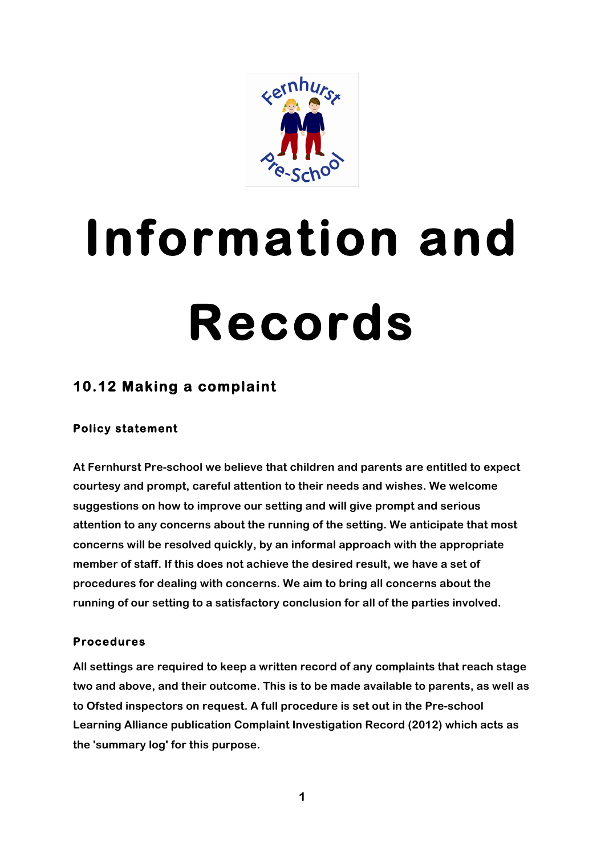

# **Information and Records**

# **10.12 Making a complaint**

# **Policy statement**

**At Fernhurst Pre-school we believe that children and parents are entitled to expect courtesy and prompt, careful attention to their needs and wishes. We welcome suggestions on how to improve our setting and will give prompt and serious attention to any concerns about the running of the setting. We anticipate that most concerns will be resolved quickly, by an informal approach with the appropriate member of staff. If this does not achieve the desired result, we have a set of procedures for dealing with concerns. We aim to bring all concerns about the running of our setting to a satisfactory conclusion for all of the parties involved.**

# **Procedures**

**All settings are required to keep a written record of any complaints that reach stage two and above, and their outcome. This is to be made available to parents, as well as to Ofsted inspectors on request. A full procedure is set out in the Pre-school Learning Alliance publication Complaint Investigation Record (2012) which acts as the 'summary log' for this purpose.**

**1**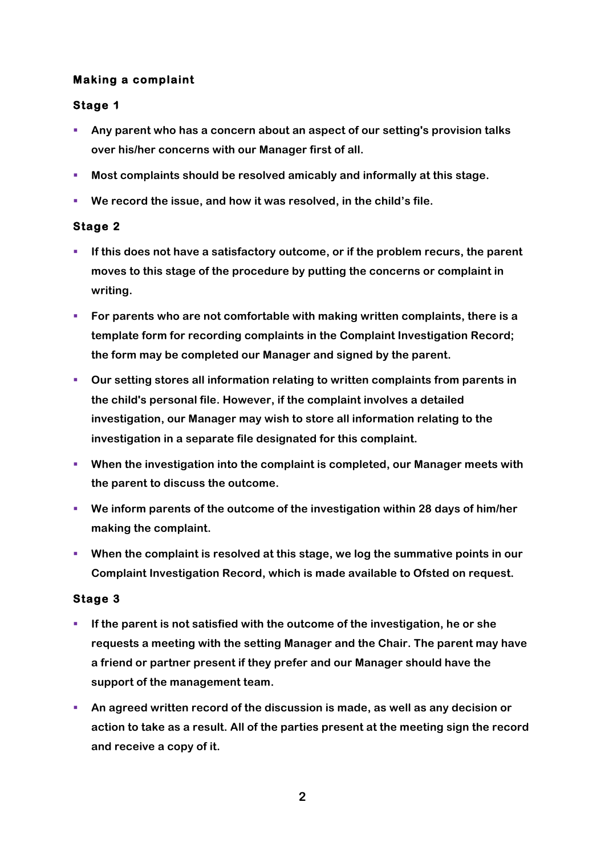## **Making a complaint**

## **Stage 1**

- § **Any parent who has a concern about an aspect of our setting's provision talks over his/her concerns with our Manager first of all.**
- § **Most complaints should be resolved amicably and informally at this stage.**
- § **We record the issue, and how it was resolved, in the child's file.**

# **Stage 2**

- **EXP** If this does not have a satisfactory outcome, or if the problem recurs, the parent **moves to this stage of the procedure by putting the concerns or complaint in writing.**
- § **For parents who are not comfortable with making written complaints, there is a template form for recording complaints in the Complaint Investigation Record; the form may be completed our Manager and signed by the parent.**
- § **Our setting stores all information relating to written complaints from parents in the child's personal file. However, if the complaint involves a detailed investigation, our Manager may wish to store all information relating to the investigation in a separate file designated for this complaint.**
- § **When the investigation into the complaint is completed, our Manager meets with the parent to discuss the outcome.**
- § **We inform parents of the outcome of the investigation within 28 days of him/her making the complaint.**
- When the complaint is resolved at this stage, we log the summative points in our **Complaint Investigation Record, which is made available to Ofsted on request.**

#### **Stage 3**

- § **If the parent is not satisfied with the outcome of the investigation, he or she requests a meeting with the setting Manager and the Chair. The parent may have a friend or partner present if they prefer and our Manager should have the support of the management team.**
- § **An agreed written record of the discussion is made, as well as any decision or action to take as a result. All of the parties present at the meeting sign the record and receive a copy of it.**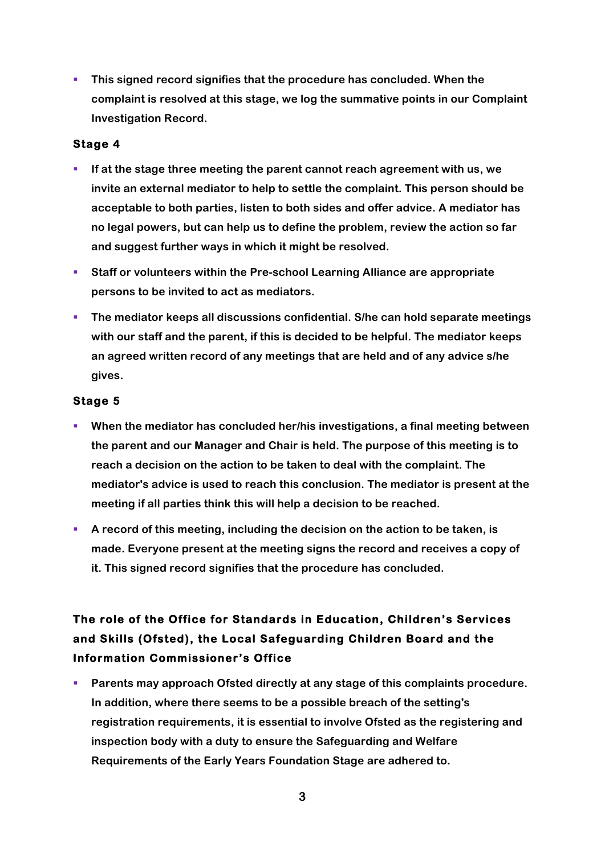§ **This signed record signifies that the procedure has concluded. When the complaint is resolved at this stage, we log the summative points in our Complaint Investigation Record.**

#### **Stage 4**

- § **If at the stage three meeting the parent cannot reach agreement with us, we invite an external mediator to help to settle the complaint. This person should be acceptable to both parties, listen to both sides and offer advice. A mediator has no legal powers, but can help us to define the problem, review the action so far and suggest further ways in which it might be resolved.**
- § **Staff or volunteers within the Pre-school Learning Alliance are appropriate persons to be invited to act as mediators.**
- § **The mediator keeps all discussions confidential. S/he can hold separate meetings with our staff and the parent, if this is decided to be helpful. The mediator keeps an agreed written record of any meetings that are held and of any advice s/he gives.**

# **Stage 5**

- When the mediator has concluded her/his investigations, a final meeting between **the parent and our Manager and Chair is held. The purpose of this meeting is to reach a decision on the action to be taken to deal with the complaint. The mediator's advice is used to reach this conclusion. The mediator is present at the meeting if all parties think this will help a decision to be reached.**
- § **A record of this meeting, including the decision on the action to be taken, is made. Everyone present at the meeting signs the record and receives a copy of it. This signed record signifies that the procedure has concluded.**

# **The role of the Office for Standards in Education, Children's Services and Skills (Ofsted), the Local Safeguarding Children Board and the Information Commissioner's Office**

§ **Parents may approach Ofsted directly at any stage of this complaints procedure. In addition, where there seems to be a possible breach of the setting's registration requirements, it is essential to involve Ofsted as the registering and inspection body with a duty to ensure the Safeguarding and Welfare Requirements of the Early Years Foundation Stage are adhered to.**